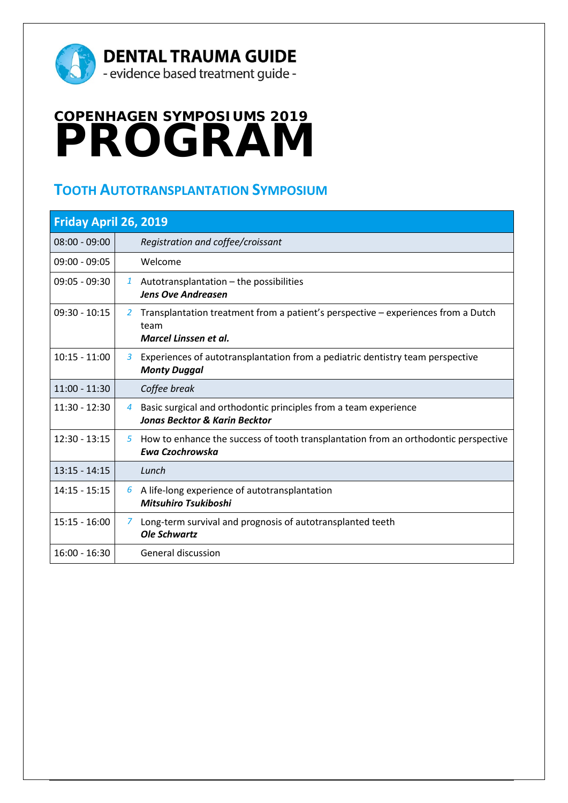

## **COPENHAGEN SYMPOSIUMS 2019 PROGRAM**

## **TOOTH AUTOTRANSPLANTATION SYMPOSIUM**

| Friday April 26, 2019 |                |                                                                                                                    |  |
|-----------------------|----------------|--------------------------------------------------------------------------------------------------------------------|--|
| $08:00 - 09:00$       |                | Registration and coffee/croissant                                                                                  |  |
| $09:00 - 09:05$       |                | Welcome                                                                                                            |  |
| 09:05 - 09:30         |                | 1 Autotransplantation $-$ the possibilities<br><b>Jens Ove Andreasen</b>                                           |  |
| $09:30 - 10:15$       | 2              | Transplantation treatment from a patient's perspective – experiences from a Dutch<br>team<br>Marcel Linssen et al. |  |
| $10:15 - 11:00$       | 3              | Experiences of autotransplantation from a pediatric dentistry team perspective<br><b>Monty Duggal</b>              |  |
| $11:00 - 11:30$       |                | Coffee break                                                                                                       |  |
| $11:30 - 12:30$       | $\overline{4}$ | Basic surgical and orthodontic principles from a team experience<br><b>Jonas Becktor &amp; Karin Becktor</b>       |  |
| $12:30 - 13:15$       | 5              | How to enhance the success of tooth transplantation from an orthodontic perspective<br>Ewa Czochrowska             |  |
| $13:15 - 14:15$       |                | Lunch                                                                                                              |  |
| $14:15 - 15:15$       |                | $6$ A life-long experience of autotransplantation<br><b>Mitsuhiro Tsukiboshi</b>                                   |  |
| $15:15 - 16:00$       | $\mathcal{I}$  | Long-term survival and prognosis of autotransplanted teeth<br><b>Ole Schwartz</b>                                  |  |
| $16:00 - 16:30$       |                | <b>General discussion</b>                                                                                          |  |